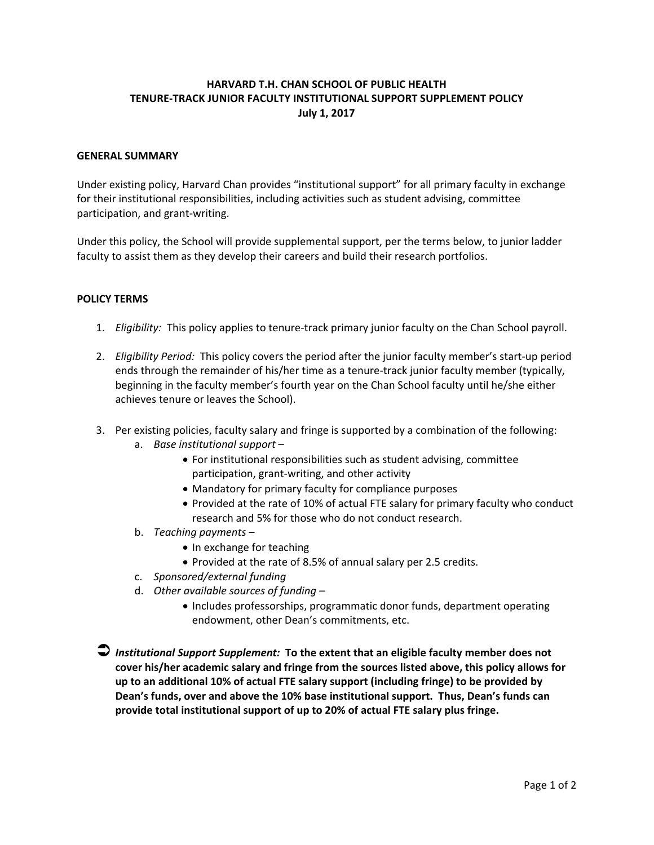## **HARVARD T.H. CHAN SCHOOL OF PUBLIC HEALTH TENURE‐TRACK JUNIOR FACULTY INSTITUTIONAL SUPPORT SUPPLEMENT POLICY July 1, 2017**

## **GENERAL SUMMARY**

Under existing policy, Harvard Chan provides "institutional support" for all primary faculty in exchange for their institutional responsibilities, including activities such as student advising, committee participation, and grant‐writing.

Under this policy, the School will provide supplemental support, per the terms below, to junior ladder faculty to assist them as they develop their careers and build their research portfolios.

## **POLICY TERMS**

- 1. *Eligibility:* This policy applies to tenure‐track primary junior faculty on the Chan School payroll.
- 2. *Eligibility Period:* This policy covers the period after the junior faculty member's start‐up period ends through the remainder of his/her time as a tenure-track junior faculty member (typically, beginning in the faculty member's fourth year on the Chan School faculty until he/she either achieves tenure or leaves the School).
- 3. Per existing policies, faculty salary and fringe is supported by a combination of the following:
	- a. *Base institutional support*
		- For institutional responsibilities such as student advising, committee participation, grant‐writing, and other activity
		- Mandatory for primary faculty for compliance purposes
		- Provided at the rate of 10% of actual FTE salary for primary faculty who conduct research and 5% for those who do not conduct research.
	- b. *Teaching payments*
		- In exchange for teaching
		- Provided at the rate of 8.5% of annual salary per 2.5 credits.
	- c. *Sponsored/external funding*
	- d. *Other available sources of funding –*
		- Includes professorships, programmatic donor funds, department operating endowment, other Dean's commitments, etc.

 *Institutional Support Supplement:* **To the extent that an eligible faculty member does not cover his/her academic salary and fringe from the sources listed above, this policy allows for up to an additional 10% of actual FTE salary support (including fringe) to be provided by Dean's funds, over and above the 10% base institutional support. Thus, Dean's funds can provide total institutional support of up to 20% of actual FTE salary plus fringe.**